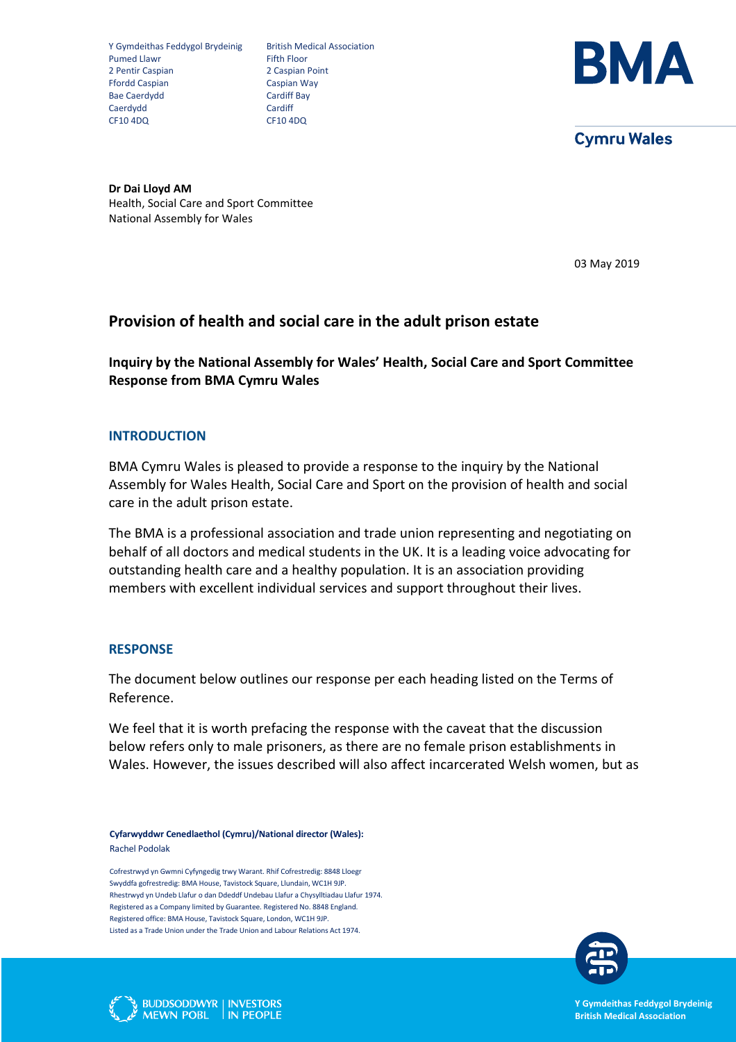Y Gymdeithas Feddygol Brydeinig British Medical Association<br>Pumed Llawr Fifth Floor Pumed Llawr 2 Pentir Caspian 2 Caspian Point Ffordd Caspian Caspian Way Bae Caerdydd Cardiff Bay<br>Caerdydd Cardiff Cardiff Cardiff Bay Caerdydd CF10 4DQ CF10 4DQ



**Cymru Wales** 

**Dr Dai Lloyd AM** Health, Social Care and Sport Committee National Assembly for Wales

03 May 2019

# **Provision of health and social care in the adult prison estate**

**Inquiry by the National Assembly for Wales' Health, Social Care and Sport Committee Response from BMA Cymru Wales**

### **INTRODUCTION**

BMA Cymru Wales is pleased to provide a response to the inquiry by the National Assembly for Wales Health, Social Care and Sport on the provision of health and social care in the adult prison estate.

The BMA is a professional association and trade union representing and negotiating on behalf of all doctors and medical students in the UK. It is a leading voice advocating for outstanding health care and a healthy population. It is an association providing members with excellent individual services and support throughout their lives.

#### **RESPONSE**

The document below outlines our response per each heading listed on the Terms of Reference.

We feel that it is worth prefacing the response with the caveat that the discussion below refers only to male prisoners, as there are no female prison establishments in Wales. However, the issues described will also affect incarcerated Welsh women, but as

**Cyfarwyddwr Cenedlaethol (Cymru)/National director (Wales):**  Rachel Podolak

Cofrestrwyd yn Gwmni Cyfyngedig trwy Warant. Rhif Cofrestredig: 8848 Lloegr Swyddfa gofrestredig: BMA House, Tavistock Square, Llundain, WC1H 9JP. Rhestrwyd yn Undeb Llafur o dan Ddeddf Undebau Llafur a Chysylltiadau Llafur 1974. Registered as a Company limited by Guarantee. Registered No. 8848 England. Registered office: BMA House, Tavistock Square, London, WC1H 9JP. Listed as a Trade Union under the Trade Union and Labour Relations Act 1974.





**Y Gymdeithas Feddygol Brydeinig British Medical Association**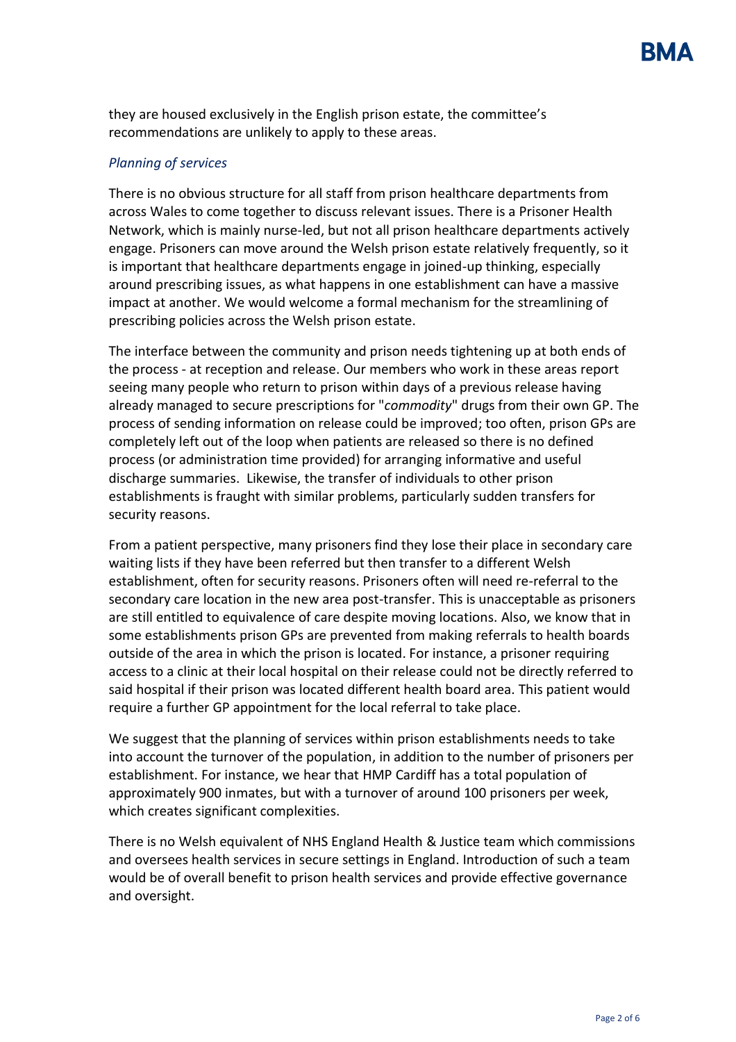they are housed exclusively in the English prison estate, the committee's recommendations are unlikely to apply to these areas.

### *Planning of services*

There is no obvious structure for all staff from prison healthcare departments from across Wales to come together to discuss relevant issues. There is a Prisoner Health Network, which is mainly nurse-led, but not all prison healthcare departments actively engage. Prisoners can move around the Welsh prison estate relatively frequently, so it is important that healthcare departments engage in joined-up thinking, especially around prescribing issues, as what happens in one establishment can have a massive impact at another. We would welcome a formal mechanism for the streamlining of prescribing policies across the Welsh prison estate.

The interface between the community and prison needs tightening up at both ends of the process - at reception and release. Our members who work in these areas report seeing many people who return to prison within days of a previous release having already managed to secure prescriptions for "*commodity*" drugs from their own GP. The process of sending information on release could be improved; too often, prison GPs are completely left out of the loop when patients are released so there is no defined process (or administration time provided) for arranging informative and useful discharge summaries. Likewise, the transfer of individuals to other prison establishments is fraught with similar problems, particularly sudden transfers for security reasons.

From a patient perspective, many prisoners find they lose their place in secondary care waiting lists if they have been referred but then transfer to a different Welsh establishment, often for security reasons. Prisoners often will need re-referral to the secondary care location in the new area post-transfer. This is unacceptable as prisoners are still entitled to equivalence of care despite moving locations. Also, we know that in some establishments prison GPs are prevented from making referrals to health boards outside of the area in which the prison is located. For instance, a prisoner requiring access to a clinic at their local hospital on their release could not be directly referred to said hospital if their prison was located different health board area. This patient would require a further GP appointment for the local referral to take place.

We suggest that the planning of services within prison establishments needs to take into account the turnover of the population, in addition to the number of prisoners per establishment. For instance, we hear that HMP Cardiff has a total population of approximately 900 inmates, but with a turnover of around 100 prisoners per week, which creates significant complexities.

There is no Welsh equivalent of NHS England Health & Justice team which commissions and oversees health services in secure settings in England. Introduction of such a team would be of overall benefit to prison health services and provide effective governance and oversight.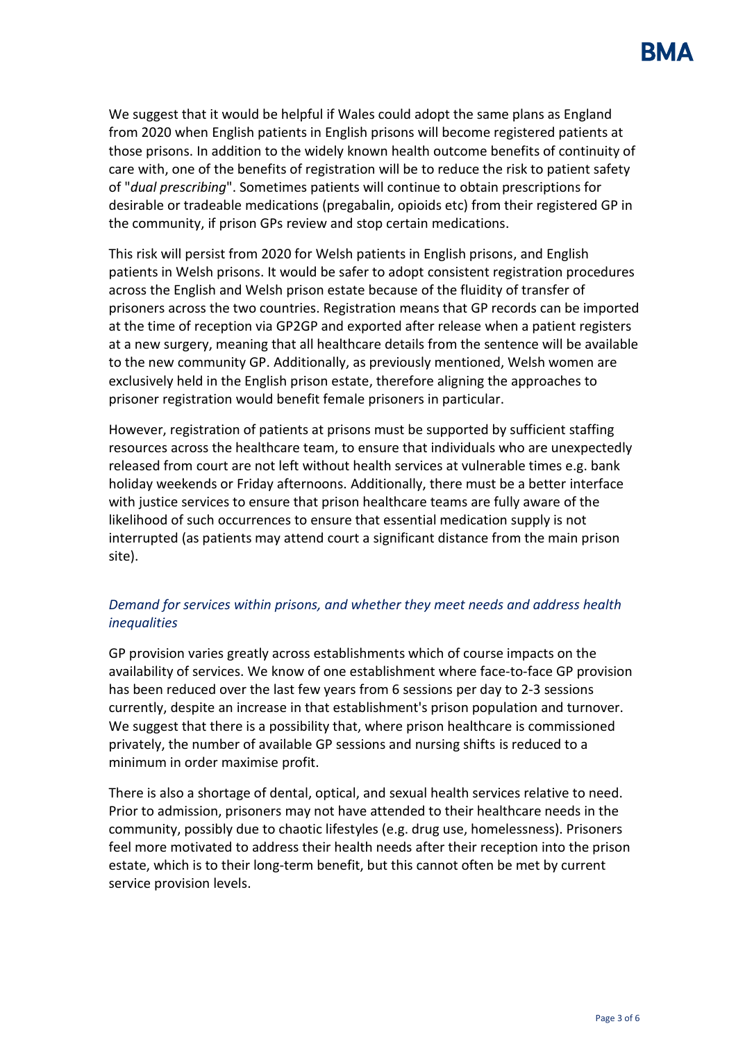We suggest that it would be helpful if Wales could adopt the same plans as England from 2020 when English patients in English prisons will become registered patients at those prisons. In addition to the widely known health outcome benefits of continuity of care with, one of the benefits of registration will be to reduce the risk to patient safety of "*dual prescribing*". Sometimes patients will continue to obtain prescriptions for desirable or tradeable medications (pregabalin, opioids etc) from their registered GP in the community, if prison GPs review and stop certain medications.

This risk will persist from 2020 for Welsh patients in English prisons, and English patients in Welsh prisons. It would be safer to adopt consistent registration procedures across the English and Welsh prison estate because of the fluidity of transfer of prisoners across the two countries. Registration means that GP records can be imported at the time of reception via GP2GP and exported after release when a patient registers at a new surgery, meaning that all healthcare details from the sentence will be available to the new community GP. Additionally, as previously mentioned, Welsh women are exclusively held in the English prison estate, therefore aligning the approaches to prisoner registration would benefit female prisoners in particular.

However, registration of patients at prisons must be supported by sufficient staffing resources across the healthcare team, to ensure that individuals who are unexpectedly released from court are not left without health services at vulnerable times e.g. bank holiday weekends or Friday afternoons. Additionally, there must be a better interface with justice services to ensure that prison healthcare teams are fully aware of the likelihood of such occurrences to ensure that essential medication supply is not interrupted (as patients may attend court a significant distance from the main prison site).

# *Demand for services within prisons, and whether they meet needs and address health inequalities*

GP provision varies greatly across establishments which of course impacts on the availability of services. We know of one establishment where face-to-face GP provision has been reduced over the last few years from 6 sessions per day to 2-3 sessions currently, despite an increase in that establishment's prison population and turnover. We suggest that there is a possibility that, where prison healthcare is commissioned privately, the number of available GP sessions and nursing shifts is reduced to a minimum in order maximise profit.

There is also a shortage of dental, optical, and sexual health services relative to need. Prior to admission, prisoners may not have attended to their healthcare needs in the community, possibly due to chaotic lifestyles (e.g. drug use, homelessness). Prisoners feel more motivated to address their health needs after their reception into the prison estate, which is to their long-term benefit, but this cannot often be met by current service provision levels.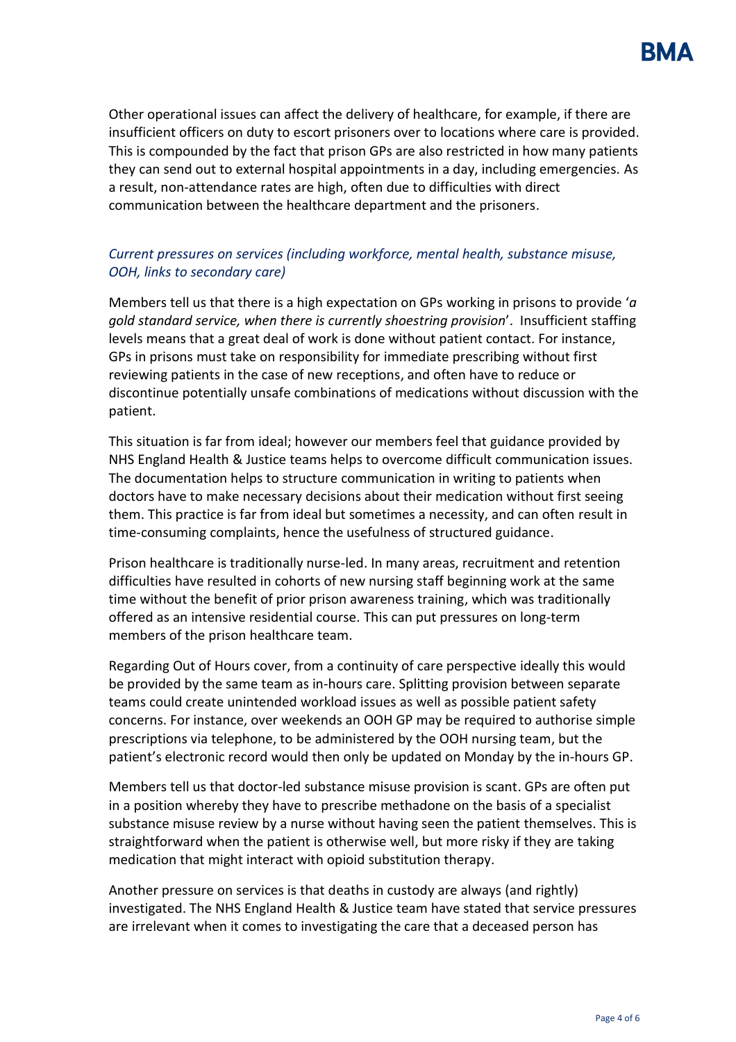

Other operational issues can affect the delivery of healthcare, for example, if there are insufficient officers on duty to escort prisoners over to locations where care is provided. This is compounded by the fact that prison GPs are also restricted in how many patients they can send out to external hospital appointments in a day, including emergencies. As a result, non-attendance rates are high, often due to difficulties with direct communication between the healthcare department and the prisoners.

### *Current pressures on services (including workforce, mental health, substance misuse, OOH, links to secondary care)*

Members tell us that there is a high expectation on GPs working in prisons to provide '*a gold standard service, when there is currently shoestring provision*'. Insufficient staffing levels means that a great deal of work is done without patient contact. For instance, GPs in prisons must take on responsibility for immediate prescribing without first reviewing patients in the case of new receptions, and often have to reduce or discontinue potentially unsafe combinations of medications without discussion with the patient.

This situation is far from ideal; however our members feel that guidance provided by NHS England Health & Justice teams helps to overcome difficult communication issues. The documentation helps to structure communication in writing to patients when doctors have to make necessary decisions about their medication without first seeing them. This practice is far from ideal but sometimes a necessity, and can often result in time-consuming complaints, hence the usefulness of structured guidance.

Prison healthcare is traditionally nurse-led. In many areas, recruitment and retention difficulties have resulted in cohorts of new nursing staff beginning work at the same time without the benefit of prior prison awareness training, which was traditionally offered as an intensive residential course. This can put pressures on long-term members of the prison healthcare team.

Regarding Out of Hours cover, from a continuity of care perspective ideally this would be provided by the same team as in-hours care. Splitting provision between separate teams could create unintended workload issues as well as possible patient safety concerns. For instance, over weekends an OOH GP may be required to authorise simple prescriptions via telephone, to be administered by the OOH nursing team, but the patient's electronic record would then only be updated on Monday by the in-hours GP.

Members tell us that doctor-led substance misuse provision is scant. GPs are often put in a position whereby they have to prescribe methadone on the basis of a specialist substance misuse review by a nurse without having seen the patient themselves. This is straightforward when the patient is otherwise well, but more risky if they are taking medication that might interact with opioid substitution therapy.

Another pressure on services is that deaths in custody are always (and rightly) investigated. The NHS England Health & Justice team have stated that service pressures are irrelevant when it comes to investigating the care that a deceased person has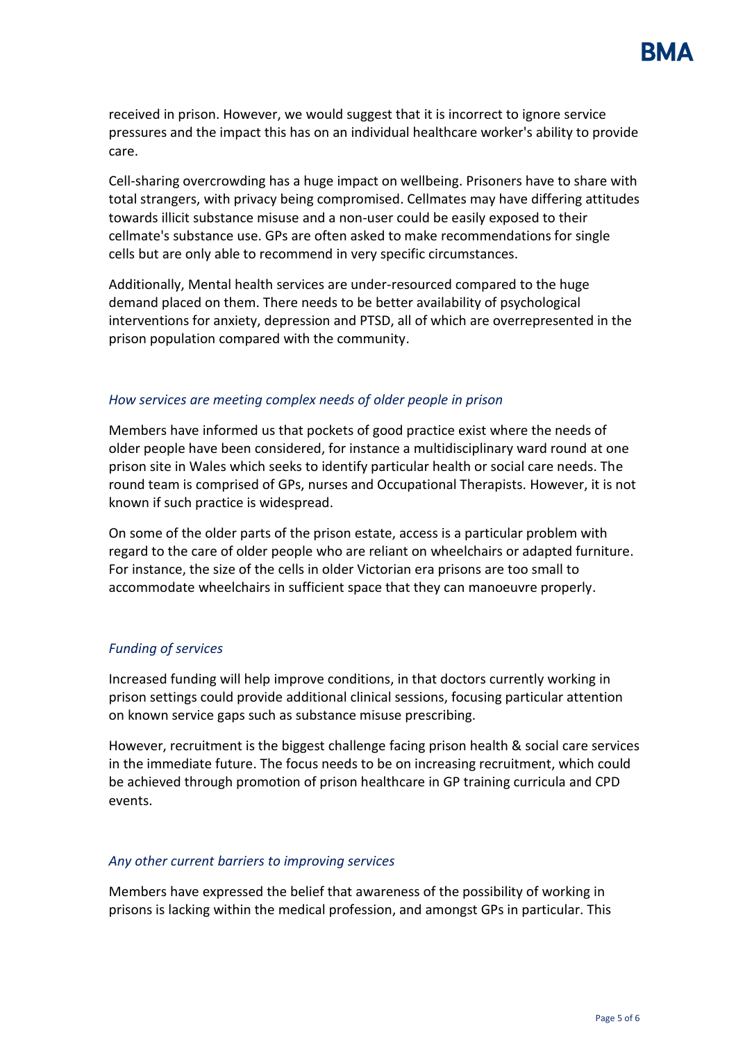

received in prison. However, we would suggest that it is incorrect to ignore service pressures and the impact this has on an individual healthcare worker's ability to provide care.

Cell-sharing overcrowding has a huge impact on wellbeing. Prisoners have to share with total strangers, with privacy being compromised. Cellmates may have differing attitudes towards illicit substance misuse and a non-user could be easily exposed to their cellmate's substance use. GPs are often asked to make recommendations for single cells but are only able to recommend in very specific circumstances.

Additionally, Mental health services are under-resourced compared to the huge demand placed on them. There needs to be better availability of psychological interventions for anxiety, depression and PTSD, all of which are overrepresented in the prison population compared with the community.

### *How services are meeting complex needs of older people in prison*

Members have informed us that pockets of good practice exist where the needs of older people have been considered, for instance a multidisciplinary ward round at one prison site in Wales which seeks to identify particular health or social care needs. The round team is comprised of GPs, nurses and Occupational Therapists. However, it is not known if such practice is widespread.

On some of the older parts of the prison estate, access is a particular problem with regard to the care of older people who are reliant on wheelchairs or adapted furniture. For instance, the size of the cells in older Victorian era prisons are too small to accommodate wheelchairs in sufficient space that they can manoeuvre properly.

### *Funding of services*

Increased funding will help improve conditions, in that doctors currently working in prison settings could provide additional clinical sessions, focusing particular attention on known service gaps such as substance misuse prescribing.

However, recruitment is the biggest challenge facing prison health & social care services in the immediate future. The focus needs to be on increasing recruitment, which could be achieved through promotion of prison healthcare in GP training curricula and CPD events.

#### *Any other current barriers to improving services*

Members have expressed the belief that awareness of the possibility of working in prisons is lacking within the medical profession, and amongst GPs in particular. This